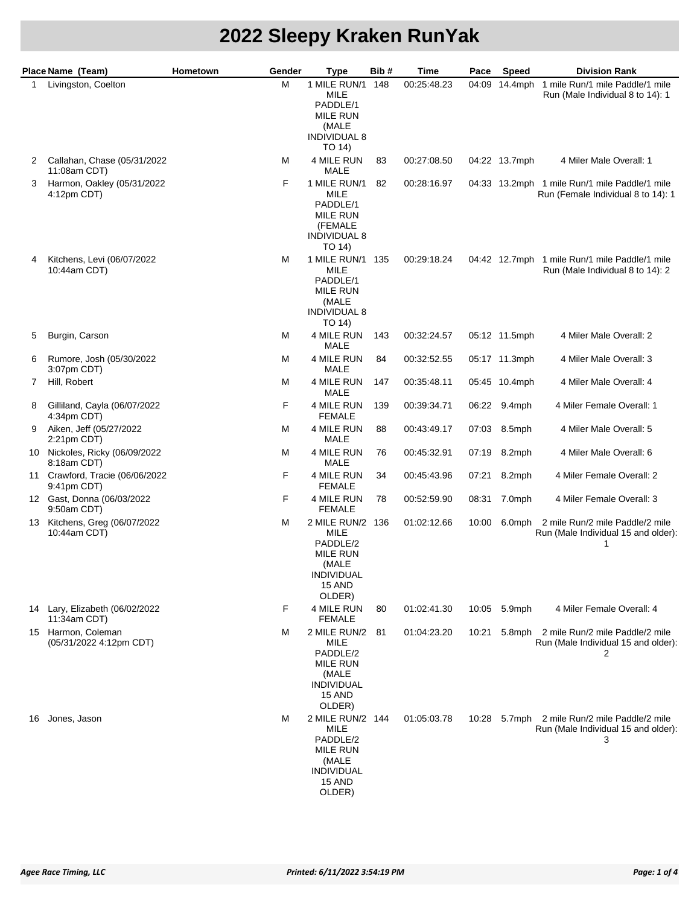|    | Place Name (Team)                               | Hometown<br>Gender | <b>Type</b>                                                                                               | Bib# | Time        | Pace  | Speed         | <b>Division Rank</b>                                                                |
|----|-------------------------------------------------|--------------------|-----------------------------------------------------------------------------------------------------------|------|-------------|-------|---------------|-------------------------------------------------------------------------------------|
| 1  | Livingston, Coelton                             | М                  | 1 MILE RUN/1<br><b>MILE</b><br>PADDLE/1<br><b>MILE RUN</b><br>(MALE<br><b>INDIVIDUAL 8</b><br>TO 14)      | 148  | 00:25:48.23 |       |               | 04:09 14.4mph 1 mile Run/1 mile Paddle/1 mile<br>Run (Male Individual 8 to 14): 1   |
| 2  | Callahan, Chase (05/31/2022<br>11:08am CDT)     | М                  | 4 MILE RUN<br>MALE                                                                                        | 83   | 00:27:08.50 |       | 04:22 13.7mph | 4 Miler Male Overall: 1                                                             |
| 3  | Harmon, Oakley (05/31/2022<br>4:12pm CDT)       | F                  | 1 MILE RUN/1<br>MILE<br>PADDLE/1<br><b>MILE RUN</b><br>(FEMALE<br><b>INDIVIDUAL 8</b><br>TO 14)           | 82   | 00:28:16.97 |       |               | 04:33 13.2mph 1 mile Run/1 mile Paddle/1 mile<br>Run (Female Individual 8 to 14): 1 |
|    | Kitchens, Levi (06/07/2022<br>10:44am CDT)      | М                  | 1 MILE RUN/1 135<br><b>MILE</b><br>PADDLE/1<br><b>MILE RUN</b><br>(MALE<br><b>INDIVIDUAL 8</b><br>TO 14)  |      | 00:29:18.24 |       |               | 04:42 12.7mph 1 mile Run/1 mile Paddle/1 mile<br>Run (Male Individual 8 to 14): 2   |
| 5  | Burgin, Carson                                  | м                  | 4 MILE RUN<br>MALE                                                                                        | 143  | 00:32:24.57 |       | 05:12 11.5mph | 4 Miler Male Overall: 2                                                             |
| 6  | Rumore, Josh (05/30/2022<br>3:07pm CDT)         | м                  | 4 MILE RUN<br>MALE                                                                                        | 84   | 00:32:52.55 |       | 05:17 11.3mph | 4 Miler Male Overall: 3                                                             |
| 7  | Hill, Robert                                    | М                  | 4 MILE RUN<br>MALE                                                                                        | 147  | 00:35:48.11 |       | 05:45 10.4mph | 4 Miler Male Overall: 4                                                             |
| 8  | Gilliland, Cayla (06/07/2022<br>4:34pm CDT)     | F                  | 4 MILE RUN<br><b>FEMALE</b>                                                                               | 139  | 00:39:34.71 | 06:22 | 9.4mph        | 4 Miler Female Overall: 1                                                           |
| 9  | Aiken, Jeff (05/27/2022)<br>$2:21$ pm CDT)      | М                  | 4 MILE RUN<br>MALE                                                                                        | 88   | 00:43:49.17 | 07:03 | 8.5mph        | 4 Miler Male Overall: 5                                                             |
|    | 10 Nickoles, Ricky (06/09/2022<br>8:18am CDT)   | М                  | 4 MILE RUN<br>MALE                                                                                        | 76   | 00:45:32.91 | 07:19 | 8.2mph        | 4 Miler Male Overall: 6                                                             |
| 11 | Crawford, Tracie (06/06/2022<br>9:41pm CDT)     | F                  | 4 MILE RUN<br><b>FEMALE</b>                                                                               | 34   | 00:45:43.96 | 07:21 | 8.2mph        | 4 Miler Female Overall: 2                                                           |
|    | 12 Gast, Donna (06/03/2022<br>9:50am CDT)       | F.                 | 4 MILE RUN<br><b>FEMALE</b>                                                                               | 78   | 00:52:59.90 | 08:31 | 7.0mph        | 4 Miler Female Overall: 3                                                           |
|    | 13 Kitchens, Greg (06/07/2022<br>10:44am CDT)   | м                  | 2 MILE RUN/2 136<br>MILE<br>PADDLE/2<br><b>MILE RUN</b><br>(MALE<br><b>INDIVIDUAL</b><br>15 AND<br>OLDER) |      | 01:02:12.66 | 10:00 |               | 6.0mph 2 mile Run/2 mile Paddle/2 mile<br>Run (Male Individual 15 and older):<br>1  |
|    | 14 Lary, Elizabeth (06/02/2022)<br>11:34am CDT) | F                  | 4 MILE RUN<br><b>FEMALE</b>                                                                               | 80   | 01:02:41.30 |       | 10:05 5.9mph  | 4 Miler Female Overall: 4                                                           |
|    | 15 Harmon, Coleman<br>(05/31/2022 4:12pm CDT)   | м                  | 2 MILE RUN/2 81<br>MILE<br>PADDLE/2<br><b>MILE RUN</b><br>(MALE<br><b>INDIVIDUAL</b><br>15 AND<br>OLDER)  |      | 01:04:23.20 | 10:21 |               | 5.8mph 2 mile Run/2 mile Paddle/2 mile<br>Run (Male Individual 15 and older):<br>2  |
| 16 | Jones, Jason                                    | M                  | 2 MILE RUN/2 144<br>MILE<br>PADDLE/2<br>MILE RUN<br>(MALE<br><b>INDIVIDUAL</b><br>15 AND<br>OLDER)        |      | 01:05:03.78 | 10:28 |               | 5.7mph 2 mile Run/2 mile Paddle/2 mile<br>Run (Male Individual 15 and older):<br>3  |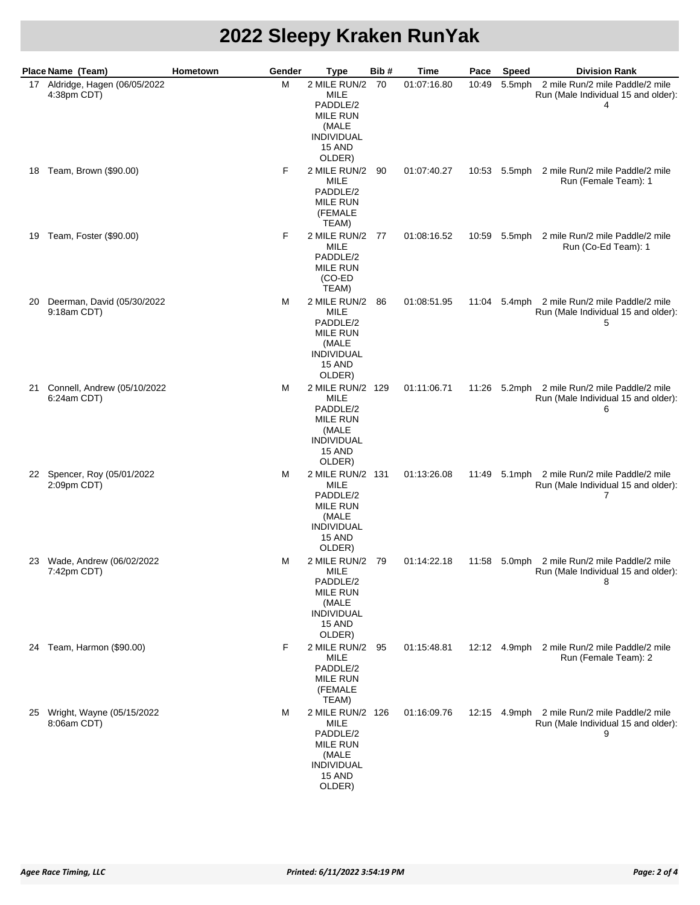|    | Place Name (Team)                             | Hometown | Gender | Type                                                                                                            | Bib# | Time        | Pace  | <b>Speed</b> | <b>Division Rank</b>                                                                     |
|----|-----------------------------------------------|----------|--------|-----------------------------------------------------------------------------------------------------------------|------|-------------|-------|--------------|------------------------------------------------------------------------------------------|
|    | 17 Aldridge, Hagen (06/05/2022<br>4:38pm CDT) |          | M      | 2 MILE RUN/2<br><b>MILE</b><br>PADDLE/2<br><b>MILE RUN</b><br>(MALE<br><b>INDIVIDUAL</b><br>15 AND<br>OLDER)    | -70  | 01:07:16.80 | 10:49 | 5.5mph       | 2 mile Run/2 mile Paddle/2 mile<br>Run (Male Individual 15 and older):<br>4              |
|    | 18 Team, Brown (\$90.00)                      |          | F      | 2 MILE RUN/2 90<br>MILE<br>PADDLE/2<br><b>MILE RUN</b><br>(FEMALE<br>TEAM)                                      |      | 01:07:40.27 |       |              | 10:53 5.5mph 2 mile Run/2 mile Paddle/2 mile<br>Run (Female Team): 1                     |
|    | 19 Team, Foster (\$90.00)                     |          | F      | 2 MILE RUN/2 77<br>MILE<br>PADDLE/2<br><b>MILE RUN</b><br>(CO-ED<br>TEAM)                                       |      | 01:08:16.52 |       |              | 10:59 5.5mph 2 mile Run/2 mile Paddle/2 mile<br>Run (Co-Ed Team): 1                      |
| 20 | Deerman, David (05/30/2022<br>9:18am CDT)     |          | м      | 2 MILE RUN/2 86<br><b>MILE</b><br>PADDLE/2<br><b>MILE RUN</b><br>(MALE<br><b>INDIVIDUAL</b><br>15 AND<br>OLDER) |      | 01:08:51.95 |       |              | 11:04 5.4mph 2 mile Run/2 mile Paddle/2 mile<br>Run (Male Individual 15 and older):<br>5 |
| 21 | Connell, Andrew (05/10/2022<br>6:24am CDT)    |          | M      | 2 MILE RUN/2 129<br>MILE<br>PADDLE/2<br><b>MILE RUN</b><br>(MALE<br><b>INDIVIDUAL</b><br>15 AND<br>OLDER)       |      | 01:11:06.71 |       |              | 11:26 5.2mph 2 mile Run/2 mile Paddle/2 mile<br>Run (Male Individual 15 and older):<br>6 |
|    | 22 Spencer, Roy (05/01/2022<br>2:09pm CDT)    |          | M      | 2 MILE RUN/2 131<br>MILE<br>PADDLE/2<br><b>MILE RUN</b><br>(MALE<br><b>INDIVIDUAL</b><br>15 AND<br>OLDER)       |      | 01:13:26.08 |       |              | 11:49 5.1mph 2 mile Run/2 mile Paddle/2 mile<br>Run (Male Individual 15 and older):<br>7 |
| 23 | Wade, Andrew (06/02/2022<br>7:42pm CDT)       |          | м      | 2 MILE RUN/2 79<br>MILE<br>PADDLE/2<br><b>MILE RUN</b><br>(MALE<br><b>INDIVIDUAL</b><br>15 AND<br>OLDER)        |      | 01:14:22.18 |       |              | 11:58 5.0mph 2 mile Run/2 mile Paddle/2 mile<br>Run (Male Individual 15 and older):<br>8 |
| 24 | Team, Harmon (\$90.00)                        |          | F      | 2 MILE RUN/2 95<br>MILE<br>PADDLE/2<br><b>MILE RUN</b><br>(FEMALE<br>TEAM)                                      |      | 01:15:48.81 |       |              | 12:12 4.9mph 2 mile Run/2 mile Paddle/2 mile<br>Run (Female Team): 2                     |
|    | 25 Wright, Wayne (05/15/2022<br>8:06am CDT)   |          | м      | 2 MILE RUN/2 126<br>MILE<br>PADDLE/2<br><b>MILE RUN</b><br>(MALE<br><b>INDIVIDUAL</b><br>15 AND<br>OLDER)       |      | 01:16:09.76 |       |              | 12:15 4.9mph 2 mile Run/2 mile Paddle/2 mile<br>Run (Male Individual 15 and older):<br>9 |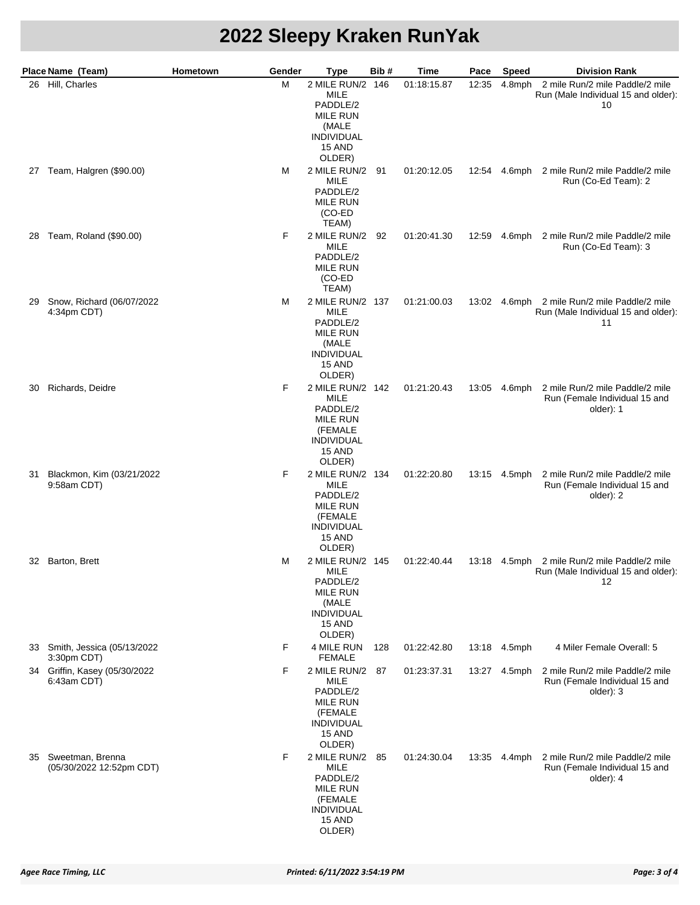|    | Place Name (Team)                               | Hometown<br>Gender | Type                                                                                                             | Bib# | Time        | Pace  | <b>Speed</b> | <b>Division Rank</b>                                                                      |
|----|-------------------------------------------------|--------------------|------------------------------------------------------------------------------------------------------------------|------|-------------|-------|--------------|-------------------------------------------------------------------------------------------|
|    | 26 Hill, Charles                                | M                  | 2 MILE RUN/2 146<br><b>MILE</b><br>PADDLE/2<br><b>MILE RUN</b><br>(MALE<br><b>INDIVIDUAL</b><br>15 AND<br>OLDER) |      | 01:18:15.87 | 12:35 | 4.8mph       | 2 mile Run/2 mile Paddle/2 mile<br>Run (Male Individual 15 and older):<br>10              |
| 27 | Team, Halgren (\$90.00)                         | М                  | 2 MILE RUN/2 91<br>MILE<br>PADDLE/2<br><b>MILE RUN</b><br>(CO-ED<br>TEAM)                                        |      | 01:20:12.05 |       | 12:54 4.6mph | 2 mile Run/2 mile Paddle/2 mile<br>Run (Co-Ed Team): 2                                    |
| 28 | Team, Roland (\$90.00)                          | F                  | 2 MILE RUN/2<br>MILE<br>PADDLE/2<br><b>MILE RUN</b><br>(CO-ED<br>TEAM)                                           | 92   | 01:20:41.30 | 12:59 |              | 4.6mph 2 mile Run/2 mile Paddle/2 mile<br>Run (Co-Ed Team): 3                             |
| 29 | Snow, Richard (06/07/2022<br>4:34pm CDT)        | М                  | 2 MILE RUN/2 137<br><b>MILE</b><br>PADDLE/2<br><b>MILE RUN</b><br>(MALE<br><b>INDIVIDUAL</b><br>15 AND<br>OLDER) |      | 01:21:00.03 | 13:02 |              | 4.6mph 2 mile Run/2 mile Paddle/2 mile<br>Run (Male Individual 15 and older):<br>11       |
| 30 | Richards, Deidre                                | F                  | 2 MILE RUN/2 142<br>MILE<br>PADDLE/2<br><b>MILE RUN</b><br>(FEMALE<br><b>INDIVIDUAL</b><br>15 AND<br>OLDER)      |      | 01:21:20.43 |       | 13:05 4.6mph | 2 mile Run/2 mile Paddle/2 mile<br>Run (Female Individual 15 and<br>older): 1             |
| 31 | Blackmon, Kim (03/21/2022<br>9:58am CDT)        | F                  | 2 MILE RUN/2 134<br>MILE<br>PADDLE/2<br><b>MILE RUN</b><br>(FEMALE<br><b>INDIVIDUAL</b><br>15 AND<br>OLDER)      |      | 01:22:20.80 |       | 13:15 4.5mph | 2 mile Run/2 mile Paddle/2 mile<br>Run (Female Individual 15 and<br>older): 2             |
|    | 32 Barton, Brett                                | м                  | 2 MILE RUN/2 145<br>MILE<br>PADDLE/2<br><b>MILE RUN</b><br>(MALE<br><b>INDIVIDUAL</b><br>15 AND<br>OLDER)        |      | 01:22:40.44 |       |              | 13:18 4.5mph 2 mile Run/2 mile Paddle/2 mile<br>Run (Male Individual 15 and older):<br>12 |
|    | 33 Smith, Jessica (05/13/2022<br>3:30pm CDT)    | F                  | 4 MILE RUN<br><b>FEMALE</b>                                                                                      | 128  | 01:22:42.80 | 13:18 | 4.5mph       | 4 Miler Female Overall: 5                                                                 |
|    | 34 Griffin, Kasey (05/30/2022<br>6:43am CDT)    | F                  | 2 MILE RUN/2 87<br>MILE<br>PADDLE/2<br><b>MILE RUN</b><br>(FEMALE<br><b>INDIVIDUAL</b><br>15 AND<br>OLDER)       |      | 01:23:37.31 | 13:27 | 4.5mph       | 2 mile Run/2 mile Paddle/2 mile<br>Run (Female Individual 15 and<br>older): 3             |
|    | 35 Sweetman, Brenna<br>(05/30/2022 12:52pm CDT) | F                  | 2 MILE RUN/2<br>MILE<br>PADDLE/2<br>MILE RUN<br>(FEMALE<br><b>INDIVIDUAL</b><br>15 AND<br>OLDER)                 | 85   | 01:24:30.04 | 13:35 | 4.4mph       | 2 mile Run/2 mile Paddle/2 mile<br>Run (Female Individual 15 and<br>older): 4             |